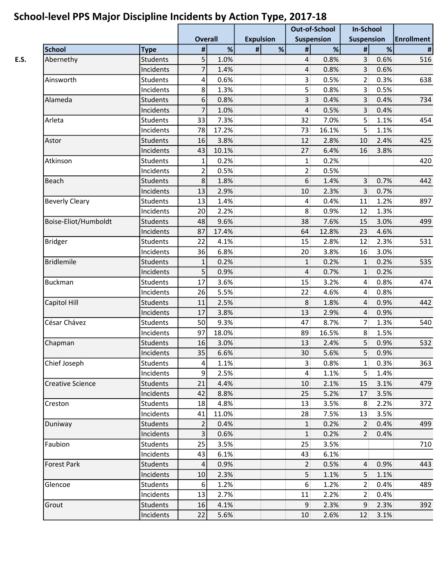|                         |                 | <b>Overall</b> |       | <b>Expulsion</b> |   | <b>Out-of-School</b><br><b>Suspension</b> |       | <b>In-School</b><br><b>Suspension</b> |      | <b>Enrollment</b> |
|-------------------------|-----------------|----------------|-------|------------------|---|-------------------------------------------|-------|---------------------------------------|------|-------------------|
|                         |                 |                |       |                  |   |                                           |       |                                       |      |                   |
| <b>School</b>           | <b>Type</b>     | $\pmb{\#}$     | $\%$  | $\pmb{\#}$       | % | $\pmb{\#}$                                | %     | $\pmb{\#}$                            | $\%$ | $\#$              |
| Abernethy               | <b>Students</b> | 5              | 1.0%  |                  |   | $\overline{4}$                            | 0.8%  | 3                                     | 0.6% | 516               |
|                         | Incidents       | $\overline{7}$ | 1.4%  |                  |   | $\overline{4}$                            | 0.8%  | $\overline{3}$                        | 0.6% |                   |
| Ainsworth               | <b>Students</b> | 4              | 0.6%  |                  |   | 3 <sup>2</sup>                            | 0.5%  | $\overline{2}$                        | 0.3% | 638               |
|                         | Incidents       | 8              | 1.3%  |                  |   | 5 <sup>1</sup>                            | 0.8%  | $\overline{3}$                        | 0.5% |                   |
| Alameda                 | <b>Students</b> | 6              | 0.8%  |                  |   | $\overline{\mathbf{3}}$                   | 0.4%  | 3                                     | 0.4% | 734               |
|                         | Incidents       | $\overline{7}$ | 1.0%  |                  |   | $\overline{4}$                            | 0.5%  | $\overline{3}$                        | 0.4% |                   |
| Arleta                  | <b>Students</b> | 33             | 7.3%  |                  |   | 32                                        | 7.0%  | 5                                     | 1.1% | 454               |
|                         | Incidents       | 78             | 17.2% |                  |   | 73                                        | 16.1% | 5 <sup>1</sup>                        | 1.1% |                   |
| Astor                   | <b>Students</b> | 16             | 3.8%  |                  |   | 12                                        | 2.8%  | 10                                    | 2.4% | 425               |
|                         | Incidents       | 43             | 10.1% |                  |   | 27                                        | 6.4%  | 16                                    | 3.8% |                   |
| Atkinson                | <b>Students</b> | $\mathbf 1$    | 0.2%  |                  |   | $\mathbf{1}$                              | 0.2%  |                                       |      | 420               |
|                         | Incidents       | $\overline{2}$ | 0.5%  |                  |   | $\overline{2}$                            | 0.5%  |                                       |      |                   |
| Beach                   | <b>Students</b> | 8              | 1.8%  |                  |   | 6                                         | 1.4%  | 3                                     | 0.7% | 442               |
|                         | Incidents       | 13             | 2.9%  |                  |   | 10                                        | 2.3%  | $\overline{3}$                        | 0.7% |                   |
| <b>Beverly Cleary</b>   | <b>Students</b> | 13             | 1.4%  |                  |   | $\vert 4 \vert$                           | 0.4%  | 11                                    | 1.2% | 897               |
|                         | Incidents       | 20             | 2.2%  |                  |   | 8                                         | 0.9%  | 12                                    | 1.3% |                   |
| Boise-Eliot/Humboldt    | <b>Students</b> | 48             | 9.6%  |                  |   | 38                                        | 7.6%  | 15                                    | 3.0% | 499               |
|                         | Incidents       | 87             | 17.4% |                  |   | 64                                        | 12.8% | 23                                    | 4.6% |                   |
| <b>Bridger</b>          | <b>Students</b> | 22             | 4.1%  |                  |   | 15                                        | 2.8%  | 12                                    | 2.3% | 531               |
|                         | Incidents       | 36             | 6.8%  |                  |   | 20                                        | 3.8%  | 16                                    | 3.0% |                   |
| <b>Bridlemile</b>       | <b>Students</b> | $\mathbf{1}$   | 0.2%  |                  |   | $\mathbf{1}$                              | 0.2%  | $1\overline{ }$                       | 0.2% | 535               |
|                         | Incidents       | 5              | 0.9%  |                  |   | $\overline{a}$                            | 0.7%  | $\mathbf{1}$                          | 0.2% |                   |
| <b>Buckman</b>          | <b>Students</b> | 17             | 3.6%  |                  |   | 15                                        | 3.2%  | 4                                     | 0.8% | 474               |
|                         | Incidents       | 26             | 5.5%  |                  |   | 22                                        | 4.6%  | 4                                     | 0.8% |                   |
| Capitol Hill            | <b>Students</b> | 11             | 2.5%  |                  |   | 8                                         | 1.8%  | $\overline{4}$                        | 0.9% | 442               |
|                         | Incidents       | 17             | 3.8%  |                  |   | 13                                        | 2.9%  | 4                                     | 0.9% |                   |
| César Chávez            | <b>Students</b> | 50             | 9.3%  |                  |   | 47                                        | 8.7%  | $\overline{7}$                        | 1.3% | 540               |
|                         | Incidents       | 97             | 18.0% |                  |   | 89                                        | 16.5% | $\bf 8$                               | 1.5% |                   |
| Chapman                 | <b>Students</b> | 16             | 3.0%  |                  |   | 13                                        | 2.4%  | 5                                     | 0.9% | 532               |
|                         | Incidents       | 35             | 6.6%  |                  |   | 30                                        | 5.6%  | 5                                     | 0.9% |                   |
| Chief Joseph            | <b>Students</b> | 4              | 1.1%  |                  |   | 3 <sup>1</sup>                            | 0.8%  | $\mathbf{1}$                          | 0.3% | 363               |
|                         | Incidents       | 9              | 2.5%  |                  |   | $\overline{4}$                            | 1.1%  | 5 <sup>1</sup>                        | 1.4% |                   |
| <b>Creative Science</b> | <b>Students</b> | 21             | 4.4%  |                  |   | 10                                        | 2.1%  | 15                                    | 3.1% | 479               |
|                         | Incidents       | 42             | 8.8%  |                  |   | 25                                        | 5.2%  | 17                                    | 3.5% |                   |
| Creston                 | <b>Students</b> | 18             | 4.8%  |                  |   | 13                                        | 3.5%  | 8                                     | 2.2% | 372               |
|                         | Incidents       | 41             | 11.0% |                  |   | 28                                        | 7.5%  | 13                                    | 3.5% |                   |
| Duniway                 | <b>Students</b> | $\overline{2}$ | 0.4%  |                  |   | $\mathbf 1$                               | 0.2%  | 2 <sup>1</sup>                        | 0.4% | 499               |
|                         | Incidents       | $\overline{3}$ | 0.6%  |                  |   | $\mathbf{1}$                              | 0.2%  | $\overline{2}$                        | 0.4% |                   |
| Faubion                 | Students        | 25             | 3.5%  |                  |   | 25                                        | 3.5%  |                                       |      | 710               |
|                         | Incidents       | 43             | 6.1%  |                  |   | 43                                        | 6.1%  |                                       |      |                   |
| Forest Park             | <b>Students</b> | 4              | 0.9%  |                  |   | $\overline{2}$                            | 0.5%  | $\overline{4}$                        | 0.9% | 443               |
|                         | Incidents       | 10             | 2.3%  |                  |   | 5                                         | 1.1%  | 5 <sup>1</sup>                        | 1.1% |                   |
| Glencoe                 | <b>Students</b> | $\sqrt{6}$     | 1.2%  |                  |   | 6 <sup>1</sup>                            | 1.2%  | $\overline{2}$                        | 0.4% | 489               |
|                         | Incidents       | 13             | 2.7%  |                  |   | 11                                        | 2.2%  | 2 <sup>1</sup>                        | 0.4% |                   |
| Grout                   | <b>Students</b> | 16             | 4.1%  |                  |   | 9                                         | 2.3%  | 9 <sup>°</sup>                        | 2.3% | 392               |
|                         | Incidents       | 22             | 5.6%  |                  |   | 10                                        | 2.6%  | 12                                    | 3.1% |                   |
|                         |                 |                |       |                  |   |                                           |       |                                       |      |                   |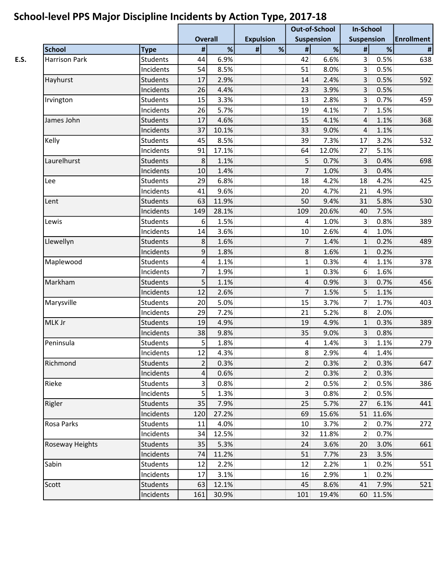|                      |                 |                         |       | . .              |   | <b>Out-of-School</b> |       | <b>In-School</b>  |          |                   |
|----------------------|-----------------|-------------------------|-------|------------------|---|----------------------|-------|-------------------|----------|-------------------|
|                      |                 | <b>Overall</b>          |       | <b>Expulsion</b> |   | <b>Suspension</b>    |       | <b>Suspension</b> |          | <b>Enrollment</b> |
| <b>School</b>        | <b>Type</b>     | $\pmb{\sharp}$          | $\%$  | $\pmb{\#}$       | % | $\pmb{\#}$           | %     | $\pmb{\#}$        | $\%$     | $\#$              |
| <b>Harrison Park</b> | <b>Students</b> | 44                      | 6.9%  |                  |   | 42                   | 6.6%  | $\overline{3}$    | 0.5%     | 638               |
|                      | Incidents       | 54                      | 8.5%  |                  |   | 51                   | 8.0%  | $\overline{3}$    | 0.5%     |                   |
| Hayhurst             | <b>Students</b> | 17                      | 2.9%  |                  |   | 14                   | 2.4%  | $\overline{3}$    | 0.5%     | 592               |
|                      | Incidents       | 26                      | 4.4%  |                  |   | 23                   | 3.9%  | 3                 | 0.5%     |                   |
| Irvington            | <b>Students</b> | 15                      | 3.3%  |                  |   | 13                   | 2.8%  | $\overline{3}$    | 0.7%     | 459               |
|                      | Incidents       | 26                      | 5.7%  |                  |   | 19                   | 4.1%  | $\overline{7}$    | 1.5%     |                   |
| James John           | <b>Students</b> | 17                      | 4.6%  |                  |   | 15                   | 4.1%  | $\overline{4}$    | 1.1%     | 368               |
|                      | Incidents       | 37                      | 10.1% |                  |   | 33                   | 9.0%  | $\overline{4}$    | 1.1%     |                   |
| Kelly                | <b>Students</b> | 45                      | 8.5%  |                  |   | 39                   | 7.3%  | 17                | 3.2%     | 532               |
|                      | Incidents       | 91                      | 17.1% |                  |   | 64                   | 12.0% | 27                | 5.1%     |                   |
| Laurelhurst          | <b>Students</b> | 8                       | 1.1%  |                  |   | 5                    | 0.7%  | 3                 | 0.4%     | 698               |
|                      | Incidents       | 10                      | 1.4%  |                  |   | $\overline{7}$       | 1.0%  | $\overline{3}$    | 0.4%     |                   |
| Lee                  | <b>Students</b> | 29                      | 6.8%  |                  |   | 18                   | 4.2%  | 18                | 4.2%     | 425               |
|                      | Incidents       | 41                      | 9.6%  |                  |   | 20                   | 4.7%  | 21                | 4.9%     |                   |
| Lent                 | <b>Students</b> | 63                      | 11.9% |                  |   | 50                   | 9.4%  | 31                | 5.8%     | 530               |
|                      | Incidents       | 149                     | 28.1% |                  |   | 109                  | 20.6% | 40                | 7.5%     |                   |
| Lewis                | <b>Students</b> | 6                       | 1.5%  |                  |   | $\overline{4}$       | 1.0%  | $\overline{3}$    | 0.8%     | 389               |
|                      | Incidents       | 14                      | 3.6%  |                  |   | 10                   | 2.6%  | $\overline{4}$    | 1.0%     |                   |
| Llewellyn            | Students        | 8                       | 1.6%  |                  |   | 7                    | 1.4%  | $\mathbf{1}$      | 0.2%     | 489               |
|                      | Incidents       | 9                       | 1.8%  |                  |   | 8                    | 1.6%  | $\mathbf{1}$      | 0.2%     |                   |
| Maplewood            | <b>Students</b> | 4                       | 1.1%  |                  |   | $\mathbf{1}$         | 0.3%  | 4                 | 1.1%     | 378               |
|                      | Incidents       | 7                       | 1.9%  |                  |   | $1\vert$             | 0.3%  | 6                 | 1.6%     |                   |
| Markham              | <b>Students</b> | 5                       | 1.1%  |                  |   | $\overline{a}$       | 0.9%  | $\overline{3}$    | 0.7%     | 456               |
|                      | Incidents       | 12                      | 2.6%  |                  |   | $\overline{7}$       | 1.5%  | 5                 | 1.1%     |                   |
| Marysville           | <b>Students</b> | 20                      | 5.0%  |                  |   | 15                   | 3.7%  | $\overline{7}$    | 1.7%     | 403               |
|                      | Incidents       | 29                      | 7.2%  |                  |   | 21                   | 5.2%  | 8                 | 2.0%     |                   |
| MLK Jr               | <b>Students</b> | 19                      | 4.9%  |                  |   | 19                   | 4.9%  | $\mathbf{1}$      | 0.3%     | 389               |
|                      | Incidents       | 38                      | 9.8%  |                  |   | 35                   | 9.0%  | 3                 | 0.8%     |                   |
| Peninsula            | <b>Students</b> | 5                       | 1.8%  |                  |   | $\vert 4 \vert$      | 1.4%  | $\overline{3}$    | 1.1%     | 279               |
|                      | Incidents       | 12                      | 4.3%  |                  |   | 8                    | 2.9%  | $\vert$           | 1.4%     |                   |
| Richmond             | Students        | $\overline{2}$          | 0.3%  |                  |   | $\overline{2}$       | 0.3%  | 2 <sup>1</sup>    | 0.3%     | 647               |
|                      | Incidents       | 4                       | 0.6%  |                  |   | $\overline{2}$       | 0.3%  | 2 <sup>1</sup>    | 0.3%     |                   |
| Rieke                | <b>Students</b> | $\overline{\mathbf{3}}$ | 0.8%  |                  |   | $\overline{2}$       | 0.5%  | $\overline{2}$    | 0.5%     | 386               |
|                      | Incidents       | $\overline{5}$          | 1.3%  |                  |   | 3 <sup>1</sup>       | 0.8%  | $\overline{2}$    | 0.5%     |                   |
| Rigler               | Students        | 35                      | 7.9%  |                  |   | 25                   | 5.7%  | 27                | 6.1%     | 441               |
|                      | Incidents       | 120                     | 27.2% |                  |   | 69                   | 15.6% | 51                | 11.6%    |                   |
| Rosa Parks           | Students        | 11                      | 4.0%  |                  |   | 10                   | 3.7%  | $\overline{2}$    | 0.7%     | 272               |
|                      | Incidents       | 34                      | 12.5% |                  |   | 32                   | 11.8% | 2 <sup>1</sup>    | 0.7%     |                   |
| Roseway Heights      | Students        | 35                      | 5.3%  |                  |   | 24                   | 3.6%  | 20                | 3.0%     | 661               |
|                      | Incidents       | 74                      | 11.2% |                  |   | 51                   | 7.7%  | 23                | 3.5%     |                   |
| Sabin                | <b>Students</b> | 12                      | 2.2%  |                  |   | 12                   | 2.2%  | $1\,$             | 0.2%     | 551               |
|                      | Incidents       | 17                      | 3.1%  |                  |   | 16                   | 2.9%  | $\mathbf{1}$      | 0.2%     |                   |
| Scott                | <b>Students</b> | 63                      | 12.1% |                  |   | 45                   | 8.6%  | 41                | 7.9%     | 521               |
|                      | Incidents       | 161                     | 30.9% |                  |   | 101                  | 19.4% |                   | 60 11.5% |                   |
|                      |                 |                         |       |                  |   |                      |       |                   |          |                   |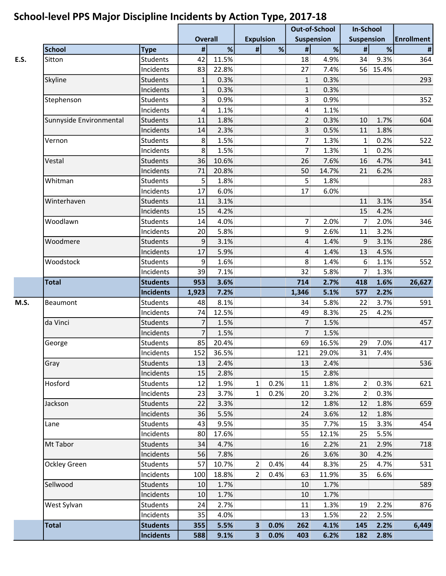|                                                     |                       |                |              |                         |                                       | <b>Out-of-School</b>    |              | <b>In-School</b>  |          |                   |  |
|-----------------------------------------------------|-----------------------|----------------|--------------|-------------------------|---------------------------------------|-------------------------|--------------|-------------------|----------|-------------------|--|
|                                                     |                       | <b>Overall</b> |              |                         | <b>Expulsion</b><br><b>Suspension</b> |                         |              | <b>Suspension</b> |          | <b>Enrollment</b> |  |
| <b>School</b>                                       | <b>Type</b>           | $\pmb{\#}$     | %            | $\pmb{\sharp}$          | %                                     | $\pmb{\#}$              | %            | $\pmb{\#}$        | $\%$     | $\pmb{\#}$        |  |
| Sitton                                              | <b>Students</b>       | 42             | 11.5%        |                         |                                       | 18                      | 4.9%         | 34                | 9.3%     | 364               |  |
|                                                     | Incidents             | 83             | 22.8%        |                         |                                       | 27                      | 7.4%         |                   | 56 15.4% |                   |  |
| Skyline                                             | <b>Students</b>       | $\mathbf{1}$   | 0.3%         |                         |                                       | $\mathbf{1}$            | 0.3%         |                   |          | 293               |  |
|                                                     | Incidents             | $\mathbf{1}$   | 0.3%         |                         |                                       | $\mathbf{1}$            | 0.3%         |                   |          |                   |  |
| Stephenson                                          | <b>Students</b>       | 3              | 0.9%         |                         |                                       | $\overline{3}$          | 0.9%         |                   |          | 352               |  |
|                                                     | Incidents             | 4              | 1.1%         |                         |                                       | $\vert 4 \vert$         | 1.1%         |                   |          |                   |  |
| Sunnyside Environmental                             | <b>Students</b>       | 11             | 1.8%         |                         |                                       | $\overline{2}$          | 0.3%         | 10                | 1.7%     | 604               |  |
|                                                     | Incidents             | 14             | 2.3%         |                         |                                       | $\overline{\mathbf{3}}$ | 0.5%         | 11                | 1.8%     |                   |  |
| Vernon                                              | Students              | 8              | 1.5%         |                         |                                       | $\overline{7}$          | 1.3%         | $1\vert$          | 0.2%     | 522               |  |
|                                                     | Incidents             | 8              | 1.5%         |                         |                                       | $\overline{7}$          | 1.3%         | 1                 | 0.2%     |                   |  |
| Vestal                                              | <b>Students</b>       | 36             | 10.6%        |                         |                                       | 26                      | 7.6%         | 16                | 4.7%     | 341               |  |
|                                                     | Incidents             | 71             | 20.8%        |                         |                                       | 50                      | 14.7%        | 21                | 6.2%     |                   |  |
| Whitman                                             | <b>Students</b>       | 5              | 1.8%         |                         |                                       | 5                       | 1.8%         |                   |          | 283               |  |
|                                                     | Incidents             | 17             | 6.0%         |                         |                                       | 17                      | 6.0%         |                   |          |                   |  |
| Winterhaven                                         | <b>Students</b>       | 11             | 3.1%         |                         |                                       |                         |              | 11                | 3.1%     | 354               |  |
|                                                     | Incidents             | 15             | 4.2%         |                         |                                       |                         |              | 15                | 4.2%     |                   |  |
| Woodlawn                                            | <b>Students</b>       | 14             | 4.0%         |                         |                                       | $\overline{7}$          | 2.0%         | $\overline{7}$    | 2.0%     | 346               |  |
|                                                     | Incidents             | 20             | 5.8%         |                         |                                       | 9                       | 2.6%         | 11                | 3.2%     |                   |  |
| Woodmere                                            | <b>Students</b>       | 9              | 3.1%         |                         |                                       | 4                       | 1.4%         | 9                 | 3.1%     | 286               |  |
|                                                     | Incidents             | 17             | 5.9%         |                         |                                       | 4                       | 1.4%         | 13                | 4.5%     |                   |  |
| Woodstock                                           | Students              | 9              | 1.6%         |                         |                                       | 8                       | 1.4%         | 6                 | 1.1%     | 552               |  |
|                                                     | Incidents             | 39             | 7.1%         |                         |                                       | 32                      | 5.8%         | 7                 | 1.3%     |                   |  |
| <b>Total</b>                                        | <b>Students</b>       | 953            | 3.6%         |                         |                                       | 714                     | 2.7%         | 418               | 1.6%     | 26,627            |  |
|                                                     | <b>Incidents</b>      | 1,923          | 7.2%         |                         |                                       | 1,346                   | 5.1%         | 577               | 2.2%     |                   |  |
| Beaumont                                            | <b>Students</b>       | 48             | 8.1%         |                         |                                       | 34                      | 5.8%         | 22                | 3.7%     | 591               |  |
|                                                     | Incidents             | 74             | 12.5%        |                         |                                       | 49                      | 8.3%         | 25                | 4.2%     |                   |  |
| da Vinci                                            | <b>Students</b>       | $\overline{7}$ | 1.5%         |                         |                                       | $\overline{7}$          | 1.5%         |                   |          | 457               |  |
|                                                     | Incidents             | $\overline{7}$ | 1.5%         |                         |                                       | $\overline{7}$          | 1.5%         |                   |          |                   |  |
| George                                              | Students              | 85             | 20.4%        |                         |                                       | 69                      | 16.5%        | 29                | 7.0%     | 417               |  |
|                                                     | Incidents             | 152            | 36.5%        |                         |                                       | 121                     | 29.0%        | 31                | 7.4%     |                   |  |
|                                                     | Students              |                | 2.4%         |                         |                                       |                         |              |                   |          |                   |  |
| Gray                                                |                       | 13             |              |                         |                                       | 13                      | 2.4%         |                   |          | 536               |  |
| Hosford                                             | Incidents<br>Students | 15<br>12       | 2.8%<br>1.9% | $\mathbf{1}$            | 0.2%                                  | 15<br>11                | 2.8%<br>1.8% | $\overline{2}$    | 0.3%     | 621               |  |
|                                                     |                       |                |              |                         |                                       |                         |              |                   |          |                   |  |
|                                                     | Incidents             | 23             | 3.7%         | $\mathbf{1}$            | 0.2%                                  | 20                      | 3.2%         | $\overline{2}$    | 0.3%     |                   |  |
| Jackson                                             | Students              | 22             | 3.3%         |                         |                                       | 12                      | 1.8%         | 12                | 1.8%     | 659               |  |
|                                                     | Incidents             | 36             | 5.5%         |                         |                                       | 24                      | 3.6%         | 12                | 1.8%     |                   |  |
| Lane                                                | Students              | 43             | 9.5%         |                         |                                       | 35                      | 7.7%         | 15                | 3.3%     | 454               |  |
| Mt Tabor<br>Ockley Green<br>Sellwood<br>West Sylvan | Incidents             | 80             | 17.6%        |                         |                                       | 55                      | 12.1%        | 25                | 5.5%     |                   |  |
|                                                     | Students              | 34             | 4.7%         |                         |                                       | 16                      | 2.2%         | 21                | 2.9%     | 718               |  |
|                                                     | Incidents             | 56             | 7.8%         |                         |                                       | 26                      | 3.6%         | 30                | 4.2%     |                   |  |
|                                                     | Students              | 57             | 10.7%        | $\overline{2}$          | 0.4%                                  | 44                      | 8.3%         | 25                | 4.7%     | 531               |  |
|                                                     | Incidents             | 100            | 18.8%        | $\overline{2}$          | 0.4%                                  | 63                      | 11.9%        | 35                | 6.6%     |                   |  |
|                                                     | Students              | 10             | 1.7%         |                         |                                       | 10                      | 1.7%         |                   |          | 589               |  |
|                                                     | Incidents             | 10             | 1.7%         |                         |                                       | 10                      | 1.7%         |                   |          |                   |  |
|                                                     | Students              | 24             | 2.7%         |                         |                                       | 11                      | 1.3%         | 19                | 2.2%     | 876               |  |
|                                                     | Incidents             | 35             | 4.0%         |                         |                                       | 13                      | 1.5%         | 22                | 2.5%     |                   |  |
| <b>Total</b>                                        | <b>Students</b>       | 355            | 5.5%         | 3                       | 0.0%                                  | 262                     | 4.1%         | 145               | 2.2%     | 6,449             |  |
|                                                     | <b>Incidents</b>      | 588            | 9.1%         | $\overline{\mathbf{3}}$ | 0.0%                                  | 403                     | 6.2%         | 182               | 2.8%     |                   |  |